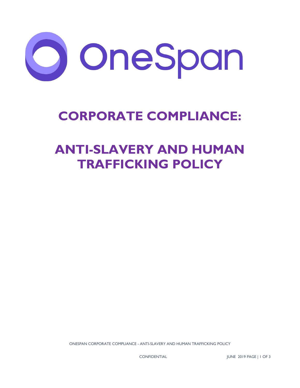

## **CORPORATE COMPLIANCE:**

# **ANTI-SLAVERY AND HUMAN TRAFFICKING POLICY**

ONESPAN CORPORATE COMPLIANCE - ANTI-SLAVERY AND HUMAN TRAFFICKING POLICY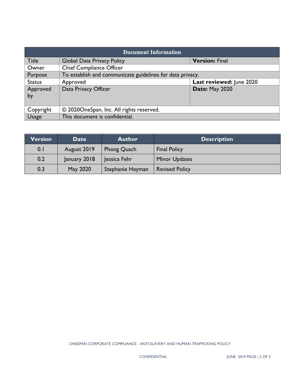| <b>Document Information</b> |                                                           |                          |  |  |
|-----------------------------|-----------------------------------------------------------|--------------------------|--|--|
| <b>Title</b>                | <b>Global Data Privacy Policy</b>                         | <b>Version: Final</b>    |  |  |
| Owner                       | <b>Chief Compliance Officer</b>                           |                          |  |  |
| Purpose                     | To establish and communicate guidelines for data privacy. |                          |  |  |
| <b>Status</b>               | Approved                                                  | Last reviewed: June 2020 |  |  |
| Approved                    | Data Privacy Officer                                      | Date: May 2020           |  |  |
| by                          |                                                           |                          |  |  |
|                             |                                                           |                          |  |  |
| Copyright                   | © 2020OneSpan, Inc. All rights reserved.                  |                          |  |  |
| <b>Usage</b>                | This document is confidential.                            |                          |  |  |

| <b>Version</b> | Date         | <b>Author</b>    | <b>Description</b>    |
|----------------|--------------|------------------|-----------------------|
| 0.1            | August 2019  | Phong Quach      | <b>Final Policy</b>   |
| 0.2            | January 2018 | Jessica Fehr     | <b>Minor Updates</b>  |
| 0.3            | May 2020     | Stephanie Heyman | <b>Revised Policy</b> |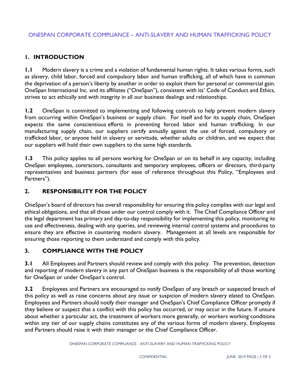## **1. INTRODUCTION**

**1.1** Modern slavery is a crime and a violation of fundamental human rights. It takes various forms, such as slavery, child labor, forced and compulsory labor and human trafficking, all of which have in common the deprivation of a person's liberty by another in order to exploit them for personal or commercial gain. OneSpan International Inc. and its affiliates ("OneSpan"), consistent with its' Code of Conduct and Ethics, strives to act ethically and with integrity in all our business dealings and relationships.

**1.2** OneSpan is committed to implementing and following controls to help prevent modern slavery from occurring within OneSpan's business or supply chain. For itself and for its supply chain, OneSpan expects the same conscientious efforts in preventing forced labor and human trafficking. In our manufacturing supply chain, our suppliers certify annually against the use of forced, compulsory or trafficked labor, or anyone held in slavery or servitude, whether adults or children, and we expect that our suppliers will hold their own suppliers to the same high standards.

**1.3** This policy applies to all persons working for OneSpan or on its behalf in any capacity, including OneSpan employees, contractors, consultants and temporary employees, officers or directors, third-party representatives and business partners (for ease of reference throughout this Policy, "Employees and Partners").

## **2. RESPONSIBILITY FOR THE POLICY**

OneSpan's board of directors has overall responsibility for ensuring this policy complies with our legal and ethical obligations, and that all those under our control comply with it. The Chief Compliance Officer and the legal department has primary and day-to-day responsibility for implementing this policy, monitoring its use and effectiveness, dealing with any queries, and reviewing internal control systems and procedures to ensure they are effective in countering modern slavery. Management at all levels are responsible for ensuring those reporting to them understand and comply with this policy.

#### **3. COMPLIANCE WITH THE POLICY**

**3.1** All Employees and Partners should review and comply with this policy. The prevention, detection and reporting of modern slavery in any part of OneSpan business is the responsibility of all those working for OneSpan or under OneSpan's control.

**3.2** Employees and Partners are encouraged to notify OneSpan of any breach or suspected breach of this policy as well as raise concerns about any issue or suspicion of modern slavery elated to OneSpan. Employees and Partners should notify their manager and OneSpan's Chief Compliance Officer promptly if they believe or suspect that a conflict with this policy has occurred, or may occur in the future. If unsure about whether a particular act, the treatment of workers more generally, or workers working conditions within any tier of our supply chains constitutes any of the various forms of modern slavery, Employees and Partners should raise it with their manager or the Chief Compliance Officer.